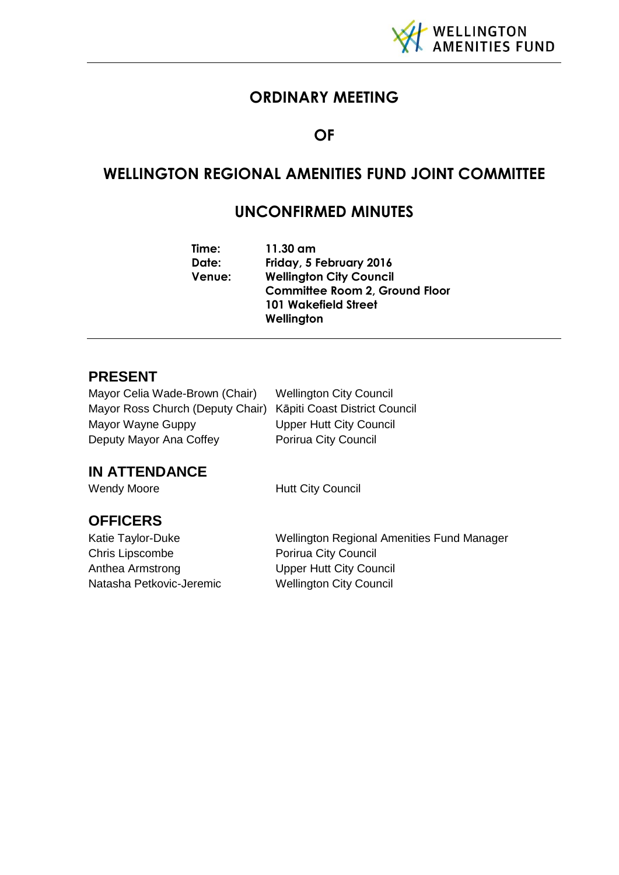

# **ORDINARY MEETING**

## **OF**

# **WELLINGTON REGIONAL AMENITIES FUND JOINT COMMITTEE**

# **UNCONFIRMED MINUTES**

| Time:  | 11.30 am                              |
|--------|---------------------------------------|
| Date:  | Friday, 5 February 2016               |
| Venue: | <b>Wellington City Council</b>        |
|        | <b>Committee Room 2, Ground Floor</b> |
|        | <b>101 Wakefield Street</b>           |
|        | Wellington                            |

### **PRESENT**

Mayor Celia Wade-Brown (Chair) Wellington City Council Mayor Ross Church (Deputy Chair) Kāpiti Coast District Council Mayor Wayne Guppy Upper Hutt City Council Deputy Mayor Ana Coffey Porirua City Council

# **IN ATTENDANCE**

Wendy Moore **Hutt City Council** 

# **OFFICERS**

Chris Lipscombe Porirua City Council Anthea Armstrong Upper Hutt City Council Natasha Petkovic-Jeremic Wellington City Council

Katie Taylor-Duke Wellington Regional Amenities Fund Manager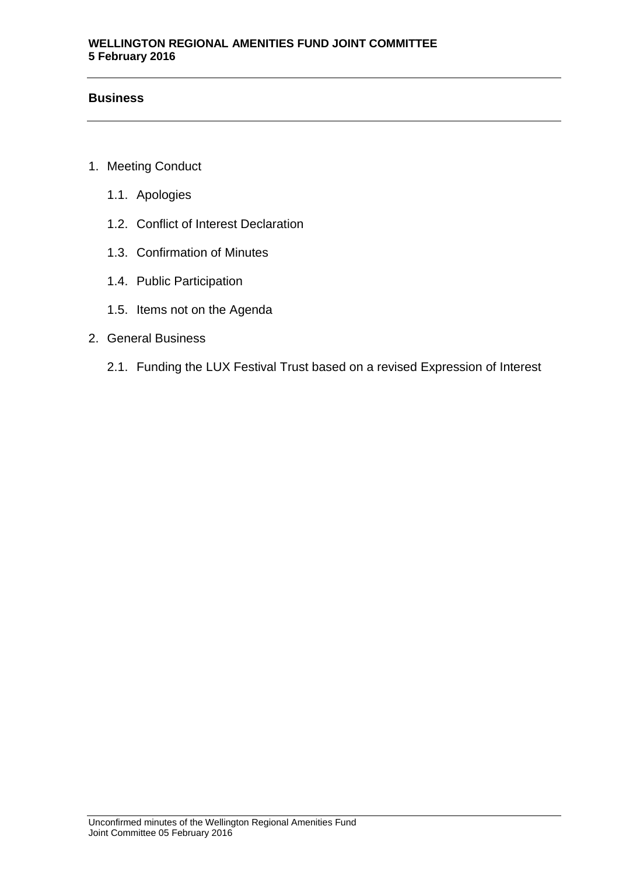### **Business**

- 1. Meeting Conduct
	- 1.1. Apologies
	- 1.2. Conflict of Interest Declaration
	- 1.3. Confirmation of Minutes
	- 1.4. Public Participation
	- 1.5. Items not on the Agenda
- 2. General Business
	- 2.1. Funding the LUX Festival Trust based on a revised Expression of Interest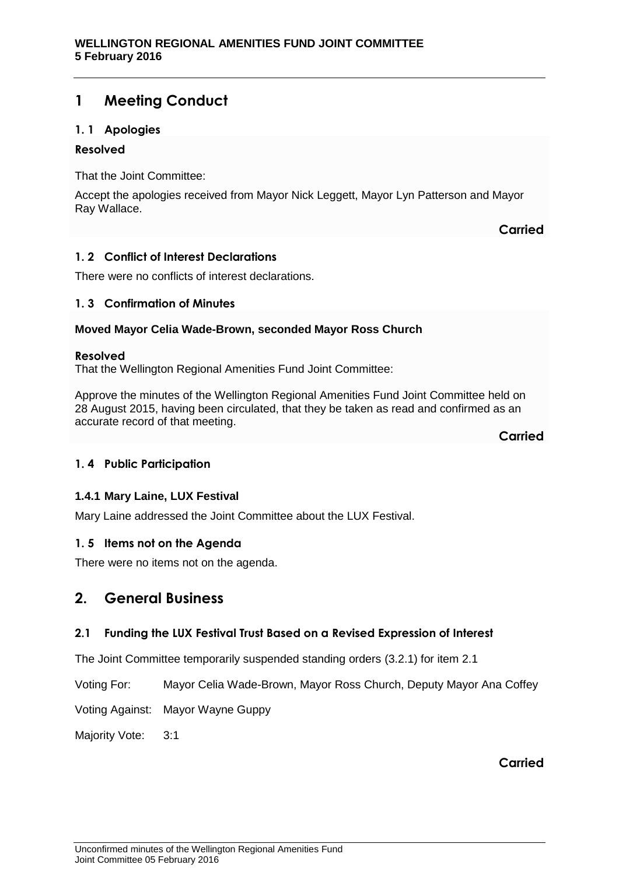## **1 Meeting Conduct**

### **1. 1 Apologies**

### **Resolved**

That the Joint Committee:

Accept the apologies received from Mayor Nick Leggett, Mayor Lyn Patterson and Mayor Ray Wallace.

**Carried**

### **1. 2 Conflict of Interest Declarations**

There were no conflicts of interest declarations.

### **1. 3 Confirmation of Minutes**

### **Moved Mayor Celia Wade-Brown, seconded Mayor Ross Church**

#### **Resolved**

That the Wellington Regional Amenities Fund Joint Committee:

Approve the minutes of the Wellington Regional Amenities Fund Joint Committee held on 28 August 2015, having been circulated, that they be taken as read and confirmed as an accurate record of that meeting.

**Carried**

### **1. 4 Public Participation**

### **1.4.1 Mary Laine, LUX Festival**

Mary Laine addressed the Joint Committee about the LUX Festival.

### **1. 5 Items not on the Agenda**

There were no items not on the agenda.

### **2. General Business**

### **2.1 Funding the LUX Festival Trust Based on a Revised Expression of Interest**

The Joint Committee temporarily suspended standing orders (3.2.1) for item 2.1

Voting For: Mayor Celia Wade-Brown, Mayor Ross Church, Deputy Mayor Ana Coffey

Voting Against: Mayor Wayne Guppy

Majority Vote: 3:1

**Carried**